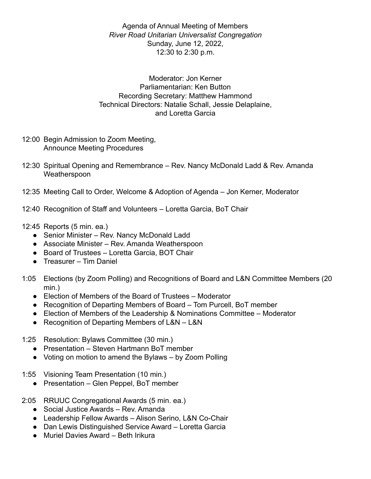Agenda of Annual Meeting of Members *River Road Unitarian Universalist Congregation* Sunday, June 12, 2022, 12:30 to 2:30 p.m.

Moderator: Jon Kerner Parliamentarian: Ken Button Recording Secretary: Matthew Hammond Technical Directors: Natalie Schall, Jessie Delaplaine, and Loretta Garcia

- 12:00 Begin Admission to Zoom Meeting, Announce Meeting Procedures
- 12:30 Spiritual Opening and Remembrance Rev. Nancy McDonald Ladd & Rev. Amanda Weatherspoon
- 12:35 Meeting Call to Order, Welcome & Adoption of Agenda Jon Kerner, Moderator
- 12:40 Recognition of Staff and Volunteers Loretta Garcia, BoT Chair
- 12:45 Reports (5 min. ea.)
	- Senior Minister Rev. Nancy McDonald Ladd
	- Associate Minister Rev. Amanda Weatherspoon
	- Board of Trustees Loretta Garcia, BOT Chair
	- Treasurer Tim Daniel
- 1:05 Elections (by Zoom Polling) and Recognitions of Board and L&N Committee Members (20 min.)
	- Election of Members of the Board of Trustees Moderator
	- Recognition of Departing Members of Board Tom Purcell, BoT member
	- Election of Members of the Leadership & Nominations Committee Moderator
	- Recognition of Departing Members of L&N L&N
- 1:25 Resolution: Bylaws Committee (30 min.)
	- Presentation Steven Hartmann BoT member
	- Voting on motion to amend the Bylaws by Zoom Polling
- 1:55 Visioning Team Presentation (10 min.)
	- Presentation Glen Peppel, BoT member
- 2:05 RRUUC Congregational Awards (5 min. ea.)
	- Social Justice Awards Rev. Amanda
	- Leadership Fellow Awards Alison Serino, L&N Co-Chair
	- Dan Lewis Distinguished Service Award Loretta Garcia
	- Muriel Davies Award Beth Irikura